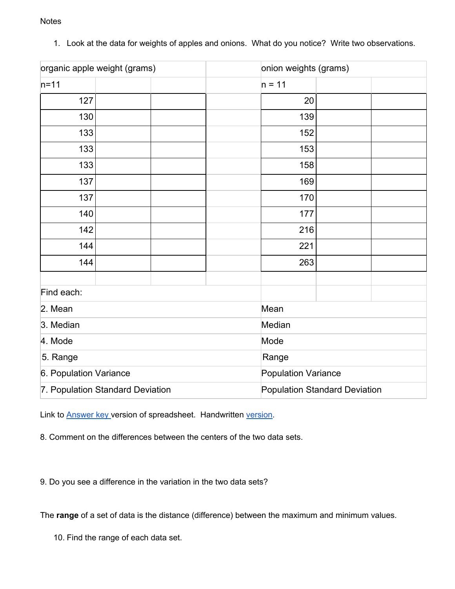**Notes** 

| organic apple weight (grams)     |  | onion weights (grams)                |  |
|----------------------------------|--|--------------------------------------|--|
| $n=11$                           |  | $n = 11$                             |  |
| 127                              |  | 20                                   |  |
| 130                              |  | 139                                  |  |
| 133                              |  | 152                                  |  |
| 133                              |  | 153                                  |  |
| 133                              |  | 158                                  |  |
| 137                              |  | 169                                  |  |
| 137                              |  | 170                                  |  |
| 140                              |  | 177                                  |  |
| 142                              |  | 216                                  |  |
| 144                              |  | 221                                  |  |
| 144                              |  | 263                                  |  |
| Find each:                       |  |                                      |  |
| 2. Mean                          |  | Mean                                 |  |
| 3. Median                        |  | Median                               |  |
| 4. Mode                          |  | Mode                                 |  |
| 5. Range                         |  | Range                                |  |
| 6. Population Variance           |  | <b>Population Variance</b>           |  |
| 7. Population Standard Deviation |  | <b>Population Standard Deviation</b> |  |

1. Look at the data for weights of apples and onions. What do you notice? Write two observations.

Link to **[Answer](https://docs.google.com/spreadsheets/d/1NB8Lbof865URByaDUdFvH_3gzvMmENAWgT4ccSsi6gk/edit#gid=2080456874) key version of spreadsheet**. Handwritten [version.](https://drive.google.com/file/d/1fjEep6_EvYEbtSunExhIg46TIrGwoIPG/view?usp=sharing)

8. Comment on the differences between the centers of the two data sets.

9. Do you see a difference in the variation in the two data sets?

The **range** of a set of data is the distance (difference) between the maximum and minimum values.

10. Find the range of each data set.